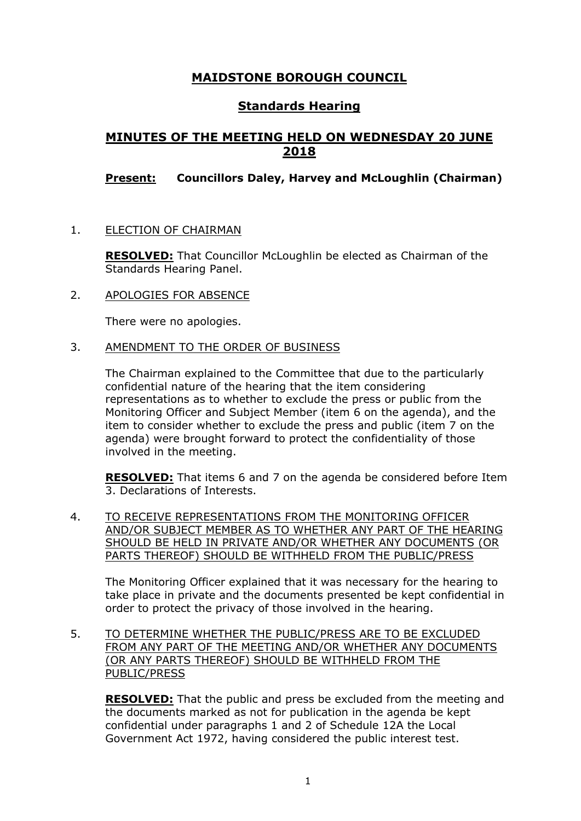# **MAIDSTONE BOROUGH COUNCIL**

## **Standards Hearing**

# **MINUTES OF THE MEETING HELD ON WEDNESDAY 20 JUNE 2018**

## **Present: Councillors Daley, Harvey and McLoughlin (Chairman)**

1. ELECTION OF CHAIRMAN

**RESOLVED:** That Councillor McLoughlin be elected as Chairman of the Standards Hearing Panel.

2. APOLOGIES FOR ABSENCE

There were no apologies.

3. AMENDMENT TO THE ORDER OF BUSINESS

The Chairman explained to the Committee that due to the particularly confidential nature of the hearing that the item considering representations as to whether to exclude the press or public from the Monitoring Officer and Subject Member (item 6 on the agenda), and the item to consider whether to exclude the press and public (item 7 on the agenda) were brought forward to protect the confidentiality of those involved in the meeting.

**RESOLVED:** That items 6 and 7 on the agenda be considered before Item 3. Declarations of Interests.

4. TO RECEIVE REPRESENTATIONS FROM THE MONITORING OFFICER AND/OR SUBJECT MEMBER AS TO WHETHER ANY PART OF THE HEARING SHOULD BE HELD IN PRIVATE AND/OR WHETHER ANY DOCUMENTS (OR PARTS THEREOF) SHOULD BE WITHHELD FROM THE PUBLIC/PRESS

The Monitoring Officer explained that it was necessary for the hearing to take place in private and the documents presented be kept confidential in order to protect the privacy of those involved in the hearing.

5. TO DETERMINE WHETHER THE PUBLIC/PRESS ARE TO BE EXCLUDED FROM ANY PART OF THE MEETING AND/OR WHETHER ANY DOCUMENTS (OR ANY PARTS THEREOF) SHOULD BE WITHHELD FROM THE PUBLIC/PRESS

**RESOLVED:** That the public and press be excluded from the meeting and the documents marked as not for publication in the agenda be kept confidential under paragraphs 1 and 2 of Schedule 12A the Local Government Act 1972, having considered the public interest test.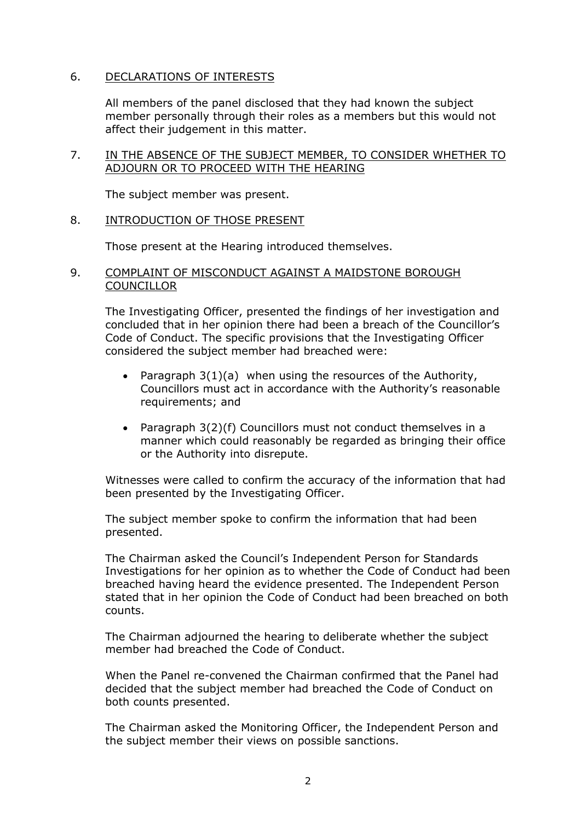### 6. DECLARATIONS OF INTERESTS

All members of the panel disclosed that they had known the subject member personally through their roles as a members but this would not affect their judgement in this matter.

#### 7. IN THE ABSENCE OF THE SUBJECT MEMBER, TO CONSIDER WHETHER TO ADJOURN OR TO PROCEED WITH THE HEARING

The subject member was present.

#### 8. INTRODUCTION OF THOSE PRESENT

Those present at the Hearing introduced themselves.

#### 9. COMPLAINT OF MISCONDUCT AGAINST A MAIDSTONE BOROUGH **COUNCILLOR**

The Investigating Officer, presented the findings of her investigation and concluded that in her opinion there had been a breach of the Councillor's Code of Conduct. The specific provisions that the Investigating Officer considered the subject member had breached were:

- Paragraph 3(1)(a) when using the resources of the Authority, Councillors must act in accordance with the Authority's reasonable requirements; and
- Paragraph 3(2)(f) Councillors must not conduct themselves in a manner which could reasonably be regarded as bringing their office or the Authority into disrepute.

Witnesses were called to confirm the accuracy of the information that had been presented by the Investigating Officer.

The subject member spoke to confirm the information that had been presented.

The Chairman asked the Council's Independent Person for Standards Investigations for her opinion as to whether the Code of Conduct had been breached having heard the evidence presented. The Independent Person stated that in her opinion the Code of Conduct had been breached on both counts.

The Chairman adjourned the hearing to deliberate whether the subject member had breached the Code of Conduct.

When the Panel re-convened the Chairman confirmed that the Panel had decided that the subject member had breached the Code of Conduct on both counts presented.

The Chairman asked the Monitoring Officer, the Independent Person and the subject member their views on possible sanctions.